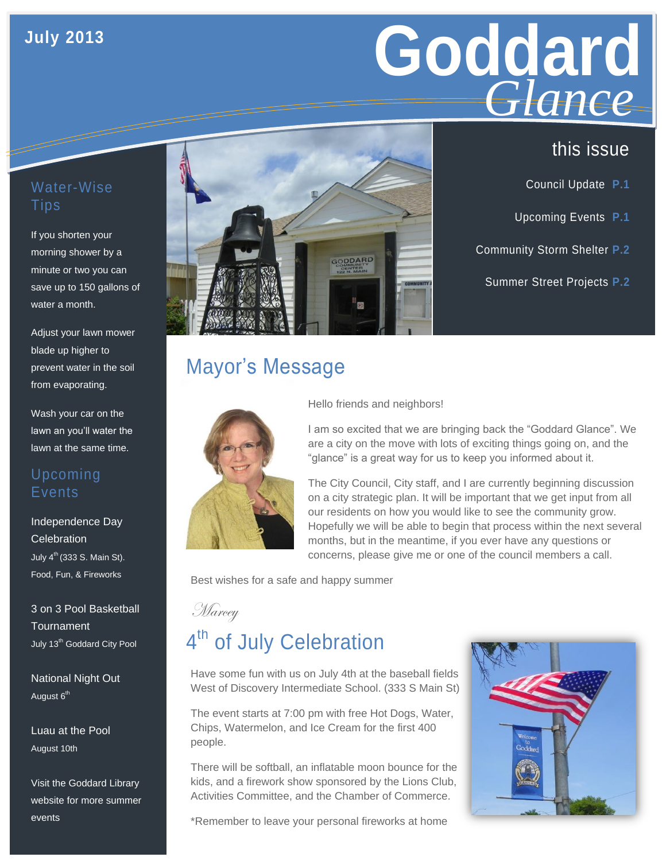## **July 2013**

# **Goddard GLANCE**<br>this issue *Glance*

## Water-Wise **Tips**

If you shorten your morning shower by a minute or two you can save up to 150 gallons of water a month.

Adjust your lawn mower blade up higher to prevent water in the soil from evaporating.

Wash your car on the lawn an you'll water the lawn at the same time.

## Upcoming Events

Independence Day **Celebration** July  $4<sup>th</sup>$  (333 S. Main St). Food, Fun, & Fireworks

3 on 3 Pool Basketball **Tournament** July 13<sup>th</sup> Goddard City Pool

National Night Out August 6<sup>th</sup>

Luau at the Pool August 10th

Visit the Goddard Library website for more summer events



## Mayor's Message



**Marcey** 

### Hello friends and neighbors!

I am so excited that we are bringing back the "Goddard Glance". We are a city on the move with lots of exciting things going on, and the "glance" is a great way for us to keep you informed about it.

The City Council, City staff, and I are currently beginning discussion on a city strategic plan. It will be important that we get input from all our residents on how you would like to see the community grow. Hopefully we will be able to begin that process within the next several months, but in the meantime, if you ever have any questions or concerns, please give me or one of the council members a call.

Best wishes for a safe and happy summer

## 4<sup>th</sup> of July Celebration

Have some fun with us on July 4th at the baseball fields West of Discovery Intermediate School. (333 S Main St)

The event starts at 7:00 pm with free Hot Dogs, Water, Chips, Watermelon, and Ice Cream for the first 400 people.

There will be softball, an inflatable moon bounce for the kids, and a firework show sponsored by the Lions Club, Activities Committee, and the Chamber of Commerce.

\*Remember to leave your personal fireworks at home



- Council Update **P.1**
- Upcoming Events **P.1**
- Community Storm Shelter **P.2**
	- Summer Street Projects **P.2**